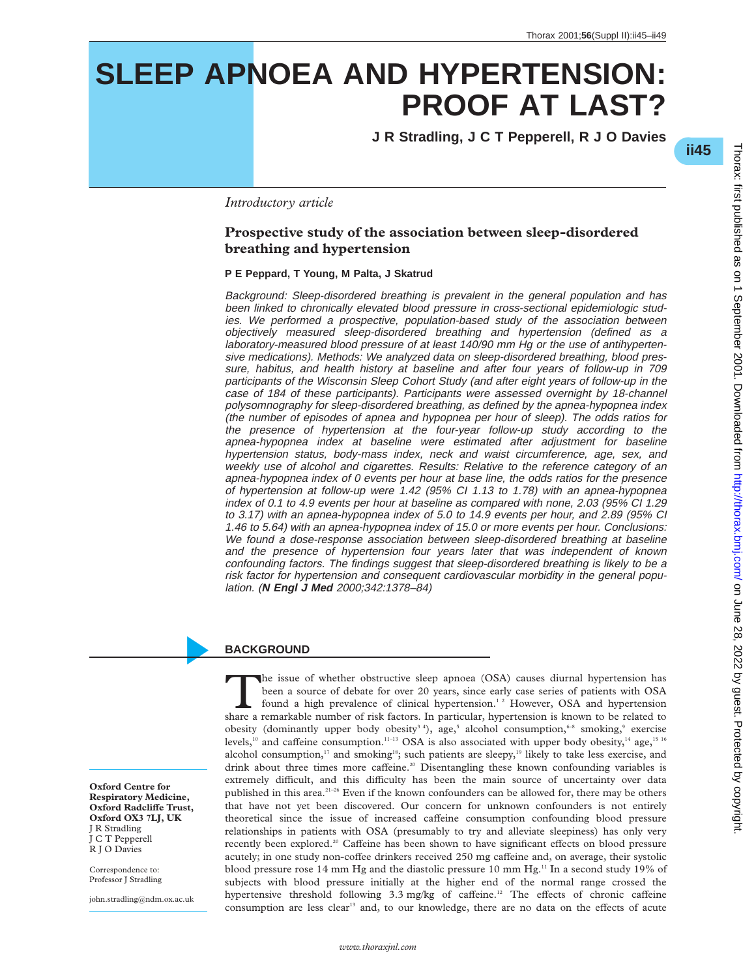# **SLEEP APNOEA AND HYPERTENSION: PROOF AT LAST?**

**J R Stradling,JCT Pepperell,RJO Davies**

\***ii45**

 on June 28, 2022 by guest. Protected by copyright. <http://thorax.bmj.com/> Thorax: first published as on 1 September 2001. Downloaded from Thorax: first published as on 1 September 2001. Downloaded from http://thorax.brnj.com/ on June 28, 2022 by guest. Protected by copyright

*Introductory article*

### **Prospective study of the association between sleep-disordered breathing and hypertension**

**P E Peppard, T Young, M Palta, J Skatrud**

Background: Sleep-disordered breathing is prevalent in the general population and has been linked to chronically elevated blood pressure in cross-sectional epidemiologic studies. We performed <sup>a</sup> prospective, population-based study of the association between objectively measured sleep-disordered breathing and hypertension (defined as <sup>a</sup> laboratory-measured blood pressure of at least 140/90 mm Hg or the use of antihypertensive medications). Methods: We analyzed data on sleep-disordered breathing, blood pressure, habitus, and health history at baseline and after four years of follow-up in 709 participants of the Wisconsin Sleep Cohort Study (and after eight years of follow-up in the case of 184 of these participants). Participants were assessed overnight by 18-channel polysomnography for sleep-disordered breathing, as defined by the apnea-hypopnea index (the number of episodes of apnea and hypopnea per hour of sleep). The odds ratios for the presence of hypertension at the four-year follow-up study according to the apnea-hypopnea index at baseline were estimated after adjustment for baseline hypertension status, body-mass index, neck and waist circumference, age, sex, and weekly use of alcohol and cigarettes. Results: Relative to the reference category of an apnea-hypopnea index of 0 events per hour at base line, the odds ratios for the presence of hypertension at follow-up were 1.42 (95% CI 1.13 to 1.78) with an apnea-hypopnea index of 0.1 to 4.9 events per hour at baseline as compared with none, 2.03 (95% CI 1.29 to 3.17) with an apnea-hypopnea index of 5.0 to 14.9 events per hour, and 2.89 (95% CI 1.46 to 5.64) with an apnea-hypopnea index of 15.0 or more events per hour. Conclusions: We found <sup>a</sup> dose-response association between sleep-disordered breathing at baseline and the presence of hypertension four years later that was independent of known confounding factors. The findings suggest that sleep-disordered breathing is likely to be <sup>a</sup> risk factor for hypertension and consequent cardiovascular morbidity in the general population. (**N Engl J Med** 2000;342:1378–84)

### **BACKGROUND**

The issue of whether obstructive sleep apnoea (OSA) causes diurnal hypertension has been a source of debate for over 20 years, since early case series of patients with OSA found a high prevalence of clinical hypertension.<sup></sup> been a source of debate for over 20 years, since early case series of patients with OSA share a remarkable number of risk factors. In particular, hypertension is known to be related to obesity (dominantly upper body obesity<sup>34</sup>), age,<sup>5</sup> alcohol consumption,<sup>6-8</sup> smoking,<sup>9</sup> exercise levels,<sup>10</sup> and caffeine consumption.<sup>11-13</sup> OSA is also associated with upper body obesity,<sup>14</sup> age,<sup>15 16</sup> alcohol consumption,<sup>17</sup> and smoking<sup>18</sup>; such patients are sleepy,<sup>19</sup> likely to take less exercise, and drink about three times more caffeine.<sup>20</sup> Disentangling these known confounding variables is extremely difficult, and this difficulty has been the main source of uncertainty over data published in this area.<sup>21–26</sup> Even if the known confounders can be allowed for, there may be others that have not yet been discovered. Our concern for unknown confounders is not entirely theoretical since the issue of increased caffeine consumption confounding blood pressure relationships in patients with OSA (presumably to try and alleviate sleepiness) has only very recently been explored.<sup>20</sup> Caffeine has been shown to have significant effects on blood pressure acutely; in one study non-coffee drinkers received 250 mg caffeine and, on average, their systolic blood pressure rose 14 mm Hg and the diastolic pressure 10 mm Hg.<sup>11</sup> In a second study 19% of subjects with blood pressure initially at the higher end of the normal range crossed the hypertensive threshold following 3.3 mg/kg of caffeine.<sup>12</sup> The effects of chronic caffeine consumption are less clear<sup>13</sup> and, to our knowledge, there are no data on the effects of acute

**Oxford Centre for Respiratory Medicine, Oxford Radcliffe Trust, Oxford OX3 7LJ, UK** J R Stradling JCTPepperell R J O Davies

Correspondence to: Professor J Stradling

john.stradling@ndm.ox.ac.uk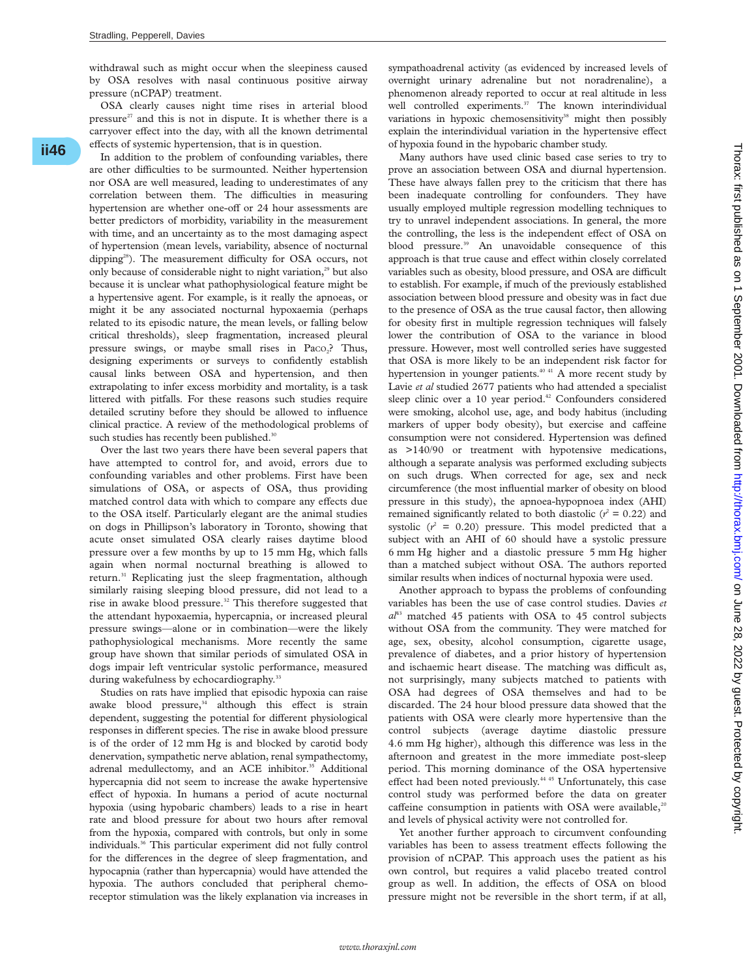withdrawal such as might occur when the sleepiness caused by OSA resolves with nasal continuous positive airway pressure (nCPAP) treatment.

OSA clearly causes night time rises in arterial blood pressure $27$  and this is not in dispute. It is whether there is a carryover effect into the day, with all the known detrimental effects of systemic hypertension, that is in question.

In addition to the problem of confounding variables, there are other difficulties to be surmounted. Neither hypertension nor OSA are well measured, leading to underestimates of any correlation between them. The difficulties in measuring hypertension are whether one-off or 24 hour assessments are better predictors of morbidity, variability in the measurement with time, and an uncertainty as to the most damaging aspect of hypertension (mean levels, variability, absence of nocturnal dipping<sup>28</sup>). The measurement difficulty for OSA occurs, not only because of considerable night to night variation,<sup>29</sup> but also because it is unclear what pathophysiological feature might be a hypertensive agent. For example, is it really the apnoeas, or might it be any associated nocturnal hypoxaemia (perhaps related to its episodic nature, the mean levels, or falling below critical thresholds), sleep fragmentation, increased pleural pressure swings, or maybe small rises in Paco<sub>2</sub>? Thus, designing experiments or surveys to confidently establish causal links between OSA and hypertension, and then extrapolating to infer excess morbidity and mortality, is a task littered with pitfalls. For these reasons such studies require detailed scrutiny before they should be allowed to influence clinical practice. A review of the methodological problems of such studies has recently been published.<sup>30</sup>

Over the last two years there have been several papers that have attempted to control for, and avoid, errors due to confounding variables and other problems. First have been simulations of OSA, or aspects of OSA, thus providing matched control data with which to compare any effects due to the OSA itself. Particularly elegant are the animal studies on dogs in Phillipson's laboratory in Toronto, showing that acute onset simulated OSA clearly raises daytime blood pressure over a few months by up to 15 mm Hg, which falls again when normal nocturnal breathing is allowed to return.<sup>31</sup> Replicating just the sleep fragmentation, although similarly raising sleeping blood pressure, did not lead to a rise in awake blood pressure.32 This therefore suggested that the attendant hypoxaemia, hypercapnia, or increased pleural pressure swings—alone or in combination—were the likely pathophysiological mechanisms. More recently the same group have shown that similar periods of simulated OSA in dogs impair left ventricular systolic performance, measured during wakefulness by echocardiography.<sup>33</sup>

Studies on rats have implied that episodic hypoxia can raise awake blood pressure,<sup>34</sup> although this effect is strain dependent, suggesting the potential for different physiological responses in different species. The rise in awake blood pressure is of the order of 12 mm Hg is and blocked by carotid body denervation, sympathetic nerve ablation, renal sympathectomy, adrenal medullectomy, and an ACE inhibitor.<sup>35</sup> Additional hypercapnia did not seem to increase the awake hypertensive effect of hypoxia. In humans a period of acute nocturnal hypoxia (using hypobaric chambers) leads to a rise in heart rate and blood pressure for about two hours after removal from the hypoxia, compared with controls, but only in some individuals.36 This particular experiment did not fully control for the differences in the degree of sleep fragmentation, and hypocapnia (rather than hypercapnia) would have attended the hypoxia. The authors concluded that peripheral chemoreceptor stimulation was the likely explanation via increases in

sympathoadrenal activity (as evidenced by increased levels of overnight urinary adrenaline but not noradrenaline), a phenomenon already reported to occur at real altitude in less well controlled experiments.<sup>37</sup> The known interindividual variations in hypoxic chemosensitivity<sup>38</sup> might then possibly explain the interindividual variation in the hypertensive effect of hypoxia found in the hypobaric chamber study.

Many authors have used clinic based case series to try to prove an association between OSA and diurnal hypertension. These have always fallen prey to the criticism that there has been inadequate controlling for confounders. They have usually employed multiple regression modelling techniques to try to unravel independent associations. In general, the more the controlling, the less is the independent effect of OSA on blood pressure.<sup>39</sup> An unavoidable consequence of this approach is that true cause and effect within closely correlated variables such as obesity, blood pressure, and OSA are difficult to establish. For example, if much of the previously established association between blood pressure and obesity was in fact due to the presence of OSA as the true causal factor, then allowing for obesity first in multiple regression techniques will falsely lower the contribution of OSA to the variance in blood pressure. However, most well controlled series have suggested that OSA is more likely to be an independent risk factor for hypertension in younger patients.<sup>40 41</sup> A more recent study by Lavie *et al* studied 2677 patients who had attended a specialist sleep clinic over a 10 year period.<sup>42</sup> Confounders considered were smoking, alcohol use, age, and body habitus (including markers of upper body obesity), but exercise and caffeine consumption were not considered. Hypertension was defined as >140/90 or treatment with hypotensive medications, although a separate analysis was performed excluding subjects on such drugs. When corrected for age, sex and neck circumference (the most influential marker of obesity on blood pressure in this study), the apnoea-hypopnoea index (AHI) remained significantly related to both diastolic ( $r^2 = 0.22$ ) and systolic  $(r^2 = 0.20)$  pressure. This model predicted that a subject with an AHI of 60 should have a systolic pressure 6 mm Hg higher and a diastolic pressure 5 mm Hg higher than a matched subject without OSA. The authors reported similar results when indices of nocturnal hypoxia were used.

Another approach to bypass the problems of confounding variables has been the use of case control studies. Davies *et*  $a^{14}$ <sup>43</sup> matched 45 patients with OSA to 45 control subjects without OSA from the community. They were matched for age, sex, obesity, alcohol consumption, cigarette usage, prevalence of diabetes, and a prior history of hypertension and ischaemic heart disease. The matching was difficult as, not surprisingly, many subjects matched to patients with OSA had degrees of OSA themselves and had to be discarded. The 24 hour blood pressure data showed that the patients with OSA were clearly more hypertensive than the control subjects (average daytime diastolic pressure 4.6 mm Hg higher), although this difference was less in the afternoon and greatest in the more immediate post-sleep period. This morning dominance of the OSA hypertensive effect had been noted previously.<sup>44 45</sup> Unfortunately, this case control study was performed before the data on greater caffeine consumption in patients with OSA were available, $20$ and levels of physical activity were not controlled for.

Yet another further approach to circumvent confounding variables has been to assess treatment effects following the provision of nCPAP. This approach uses the patient as his own control, but requires a valid placebo treated control group as well. In addition, the effects of OSA on blood pressure might not be reversible in the short term, if at all,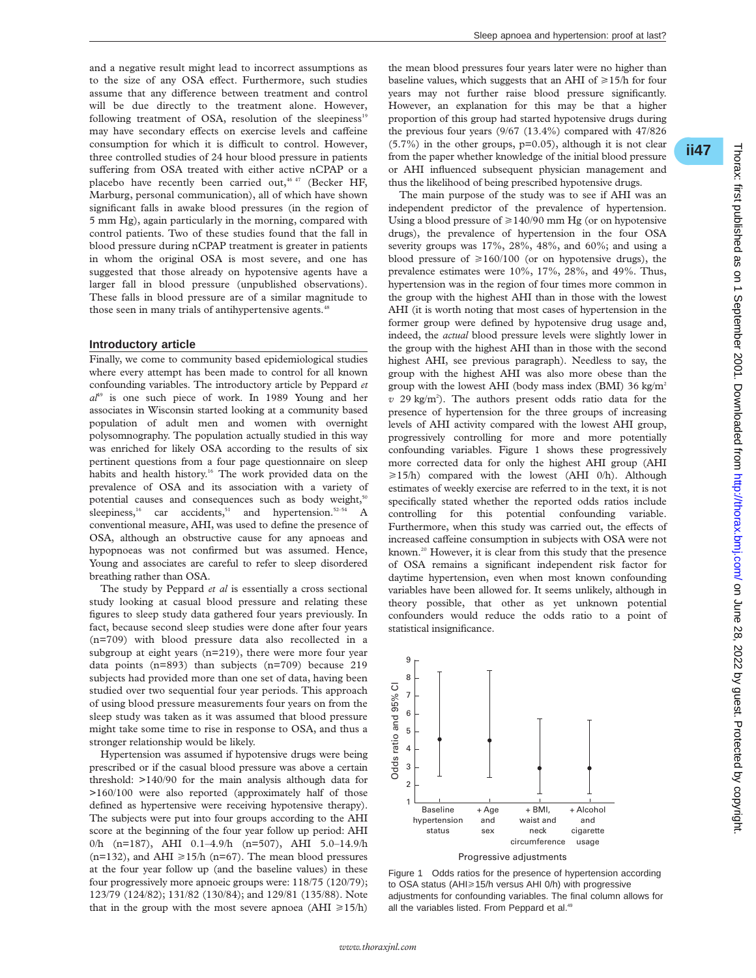and a negative result might lead to incorrect assumptions as to the size of any OSA effect. Furthermore, such studies assume that any difference between treatment and control will be due directly to the treatment alone. However, following treatment of OSA, resolution of the sleepiness<sup>19</sup> may have secondary effects on exercise levels and caffeine consumption for which it is difficult to control. However, three controlled studies of 24 hour blood pressure in patients suffering from OSA treated with either active nCPAP or a placebo have recently been carried out,  $4647$  (Becker HF, Marburg, personal communication), all of which have shown significant falls in awake blood pressures (in the region of 5 mm Hg), again particularly in the morning, compared with control patients. Two of these studies found that the fall in blood pressure during nCPAP treatment is greater in patients in whom the original OSA is most severe, and one has suggested that those already on hypotensive agents have a larger fall in blood pressure (unpublished observations). These falls in blood pressure are of a similar magnitude to those seen in many trials of antihypertensive agents.<sup>48</sup>

#### **Introductory article**

Finally, we come to community based epidemiological studies where every attempt has been made to control for all known confounding variables. The introductory article by Peppard *et*  $a<sup>49</sup>$  is one such piece of work. In 1989 Young and her associates in Wisconsin started looking at a community based population of adult men and women with overnight polysomnography. The population actually studied in this way was enriched for likely OSA according to the results of six pertinent questions from a four page questionnaire on sleep habits and health history.<sup>16</sup> The work provided data on the prevalence of OSA and its association with a variety of potential causes and consequences such as body weight,<sup>50</sup> sleepiness,<sup>16</sup> car accidents,<sup>51</sup> and hypertension.<sup>52–54</sup> A conventional measure, AHI, was used to define the presence of OSA, although an obstructive cause for any apnoeas and hypopnoeas was not confirmed but was assumed. Hence, Young and associates are careful to refer to sleep disordered breathing rather than OSA.

The study by Peppard *et al* is essentially a cross sectional study looking at casual blood pressure and relating these figures to sleep study data gathered four years previously. In fact, because second sleep studies were done after four years (n=709) with blood pressure data also recollected in a subgroup at eight years (n=219), there were more four year data points (n=893) than subjects (n=709) because 219 subjects had provided more than one set of data, having been studied over two sequential four year periods. This approach of using blood pressure measurements four years on from the sleep study was taken as it was assumed that blood pressure might take some time to rise in response to OSA, and thus a stronger relationship would be likely.

Hypertension was assumed if hypotensive drugs were being prescribed or if the casual blood pressure was above a certain threshold: >140/90 for the main analysis although data for >160/100 were also reported (approximately half of those defined as hypertensive were receiving hypotensive therapy). The subjects were put into four groups according to the AHI score at the beginning of the four year follow up period: AHI 0/h (n=187), AHI 0.1–4.9/h (n=507), AHI 5.0–14.9/h (n=132), and AHI  $\geq$ 15/h (n=67). The mean blood pressures at the four year follow up (and the baseline values) in these four progressively more apnoeic groups were: 118/75 (120/79); 123/79 (124/82); 131/82 (130/84); and 129/81 (135/88). Note that in the group with the most severe apnoea (AHI  $\geq 15/h$ )

the mean blood pressures four years later were no higher than baseline values, which suggests that an AHI of  $\geq$ 15/h for four years may not further raise blood pressure significantly. However, an explanation for this may be that a higher proportion of this group had started hypotensive drugs during the previous four years (9/67 (13.4%) compared with 47/826 (5.7%) in the other groups, p=0.05), although it is not clear from the paper whether knowledge of the initial blood pressure or AHI influenced subsequent physician management and thus the likelihood of being prescribed hypotensive drugs.

The main purpose of the study was to see if AHI was an independent predictor of the prevalence of hypertension. Using a blood pressure of  $\geq$  140/90 mm Hg (or on hypotensive drugs), the prevalence of hypertension in the four OSA severity groups was 17%, 28%, 48%, and 60%; and using a blood pressure of  $\geq 160/100$  (or on hypotensive drugs), the prevalence estimates were 10%, 17%, 28%, and 49%. Thus, hypertension was in the region of four times more common in the group with the highest AHI than in those with the lowest AHI (it is worth noting that most cases of hypertension in the former group were defined by hypotensive drug usage and, indeed, the *actual* blood pressure levels were slightly lower in the group with the highest AHI than in those with the second highest AHI, see previous paragraph). Needless to say, the group with the highest AHI was also more obese than the group with the lowest AHI (body mass index (BMI) 36 kg/m<sup>2</sup> *v* 29 kg/m2 ). The authors present odds ratio data for the presence of hypertension for the three groups of increasing levels of AHI activity compared with the lowest AHI group, progressively controlling for more and more potentially confounding variables. Figure 1 shows these progressively more corrected data for only the highest AHI group (AHI  $\geq 15/h$ ) compared with the lowest (AHI 0/h). Although estimates of weekly exercise are referred to in the text, it is not specifically stated whether the reported odds ratios include controlling for this potential confounding variable. Furthermore, when this study was carried out, the effects of increased caffeine consumption in subjects with OSA were not known.<sup>20</sup> However, it is clear from this study that the presence of OSA remains a significant independent risk factor for daytime hypertension, even when most known confounding variables have been allowed for. It seems unlikely, although in theory possible, that other as yet unknown potential confounders would reduce the odds ratio to a point of statistical insignificance.



Progressive adjustments



\***ii47**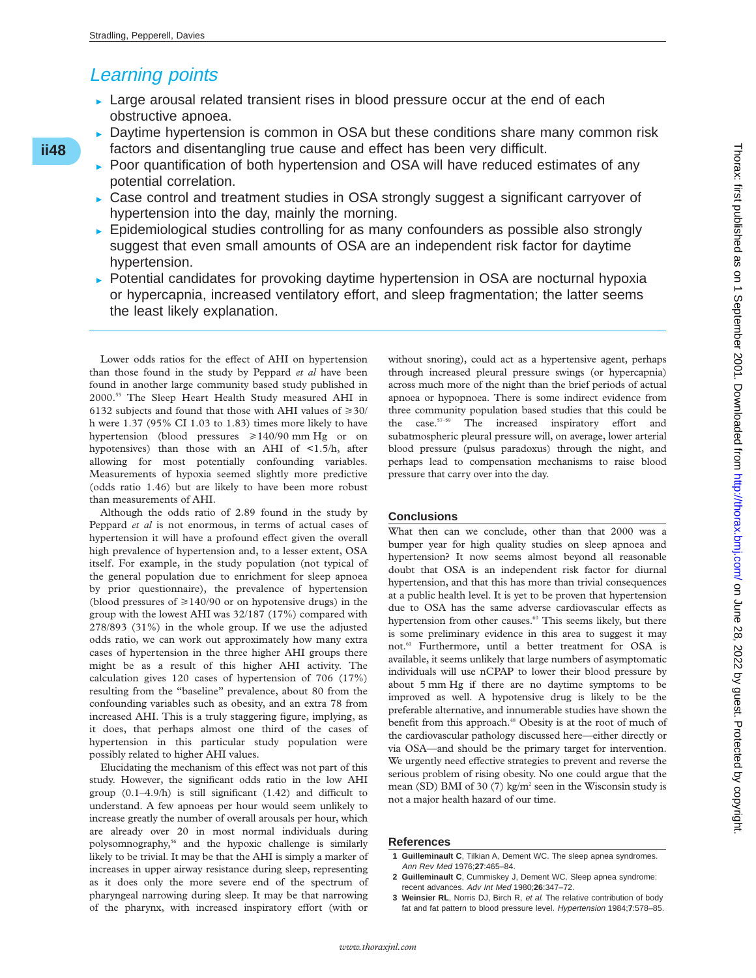# Learning points

- $\triangleright$  Large arousal related transient rises in blood pressure occur at the end of each obstructive apnoea.
- $\triangleright$  Daytime hypertension is common in OSA but these conditions share many common risk factors and disentangling true cause and effect has been very difficult.
- Poor quantification of both hypertension and OSA will have reduced estimates of any potential correlation.
- $\triangleright$  Case control and treatment studies in OSA strongly suggest a significant carryover of hypertension into the day, mainly the morning.
- $\triangleright$  Epidemiological studies controlling for as many confounders as possible also strongly suggest that even small amounts of OSA are an independent risk factor for daytime hypertension.
- $\triangleright$  Potential candidates for provoking daytime hypertension in OSA are nocturnal hypoxia or hypercapnia, increased ventilatory effort, and sleep fragmentation; the latter seems the least likely explanation.

Lower odds ratios for the effect of AHI on hypertension than those found in the study by Peppard *et al* have been found in another large community based study published in 2000.55 The Sleep Heart Health Study measured AHI in 6132 subjects and found that those with AHI values of  $\geq 30/$ h were 1.37 (95% CI 1.03 to 1.83) times more likely to have hypertension (blood pressures  $\geq 140/90$  mm Hg or on hypotensives) than those with an AHI of <1.5/h, after allowing for most potentially confounding variables. Measurements of hypoxia seemed slightly more predictive (odds ratio 1.46) but are likely to have been more robust than measurements of AHI.

Although the odds ratio of 2.89 found in the study by Peppard *et al* is not enormous, in terms of actual cases of hypertension it will have a profound effect given the overall high prevalence of hypertension and, to a lesser extent, OSA itself. For example, in the study population (not typical of the general population due to enrichment for sleep apnoea by prior questionnaire), the prevalence of hypertension (blood pressures of  $\geq$ 140/90 or on hypotensive drugs) in the group with the lowest AHI was 32/187 (17%) compared with 278/893 (31%) in the whole group. If we use the adjusted odds ratio, we can work out approximately how many extra cases of hypertension in the three higher AHI groups there might be as a result of this higher AHI activity. The calculation gives 120 cases of hypertension of 706 (17%) resulting from the "baseline" prevalence, about 80 from the confounding variables such as obesity, and an extra 78 from increased AHI. This is a truly staggering figure, implying, as it does, that perhaps almost one third of the cases of hypertension in this particular study population were possibly related to higher AHI values.

Elucidating the mechanism of this effect was not part of this study. However, the significant odds ratio in the low AHI group  $(0.1-4.9/h)$  is still significant  $(1.42)$  and difficult to understand. A few apnoeas per hour would seem unlikely to increase greatly the number of overall arousals per hour, which are already over 20 in most normal individuals during polysomnography,56 and the hypoxic challenge is similarly likely to be trivial. It may be that the AHI is simply a marker of increases in upper airway resistance during sleep, representing as it does only the more severe end of the spectrum of pharyngeal narrowing during sleep. It may be that narrowing of the pharynx, with increased inspiratory effort (with or

without snoring), could act as a hypertensive agent, perhaps through increased pleural pressure swings (or hypercapnia) across much more of the night than the brief periods of actual apnoea or hypopnoea. There is some indirect evidence from three community population based studies that this could be the case.<sup>57-59</sup> The increased inspiratory effort and subatmospheric pleural pressure will, on average, lower arterial blood pressure (pulsus paradoxus) through the night, and perhaps lead to compensation mechanisms to raise blood pressure that carry over into the day.

### **Conclusions**

What then can we conclude, other than that 2000 was a bumper year for high quality studies on sleep apnoea and hypertension? It now seems almost beyond all reasonable doubt that OSA is an independent risk factor for diurnal hypertension, and that this has more than trivial consequences at a public health level. It is yet to be proven that hypertension due to OSA has the same adverse cardiovascular effects as hypertension from other causes.<sup>60</sup> This seems likely, but there is some preliminary evidence in this area to suggest it may not.<sup>61</sup> Furthermore, until a better treatment for OSA is available, it seems unlikely that large numbers of asymptomatic individuals will use nCPAP to lower their blood pressure by about 5 mm Hg if there are no daytime symptoms to be improved as well. A hypotensive drug is likely to be the preferable alternative, and innumerable studies have shown the benefit from this approach.<sup>48</sup> Obesity is at the root of much of the cardiovascular pathology discussed here—either directly or via OSA—and should be the primary target for intervention. We urgently need effective strategies to prevent and reverse the serious problem of rising obesity. No one could argue that the mean (SD) BMI of 30 (7) kg/m<sup>2</sup> seen in the Wisconsin study is not a major health hazard of our time.

#### **References**

- **1 Guilleminault C**, Tilkian A, Dement WC. The sleep apnea syndromes. Ann Rev Med 1976;**27**:465–84.
- **2 Guilleminault C**, Cummiskey J, Dement WC. Sleep apnea syndrome: recent advances. Adv Int Med 1980;**26**:347–72.
- **3 Weinsier RL**, Norris DJ, Birch R, et al. The relative contribution of body fat and fat pattern to blood pressure level. Hypertension 1984;**7**:578–85.

## **ii48**\*